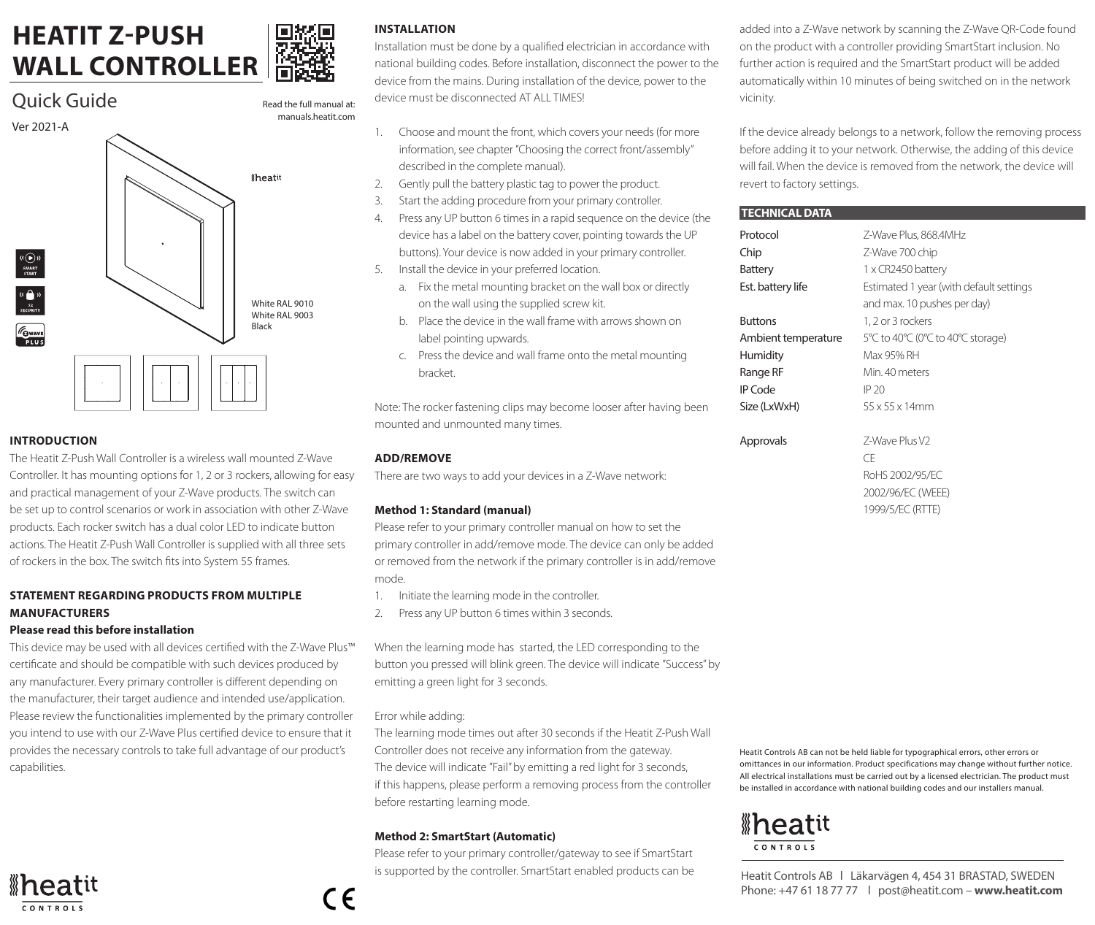# **HEATIT Z-PUSH WALL CONTROLLER**





# **INTRODUCTION**

The Heatit Z-Push Wall Controller is a wireless wall mounted Z-Wave Controller. It has mounting options for 1, 2 or 3 rockers, allowing for easy and practical management of your Z-Wave products. The switch can be set up to control scenarios or work in association with other Z-Wave products. Each rocker switch has a dual color LED to indicate button actions. The Heatit Z-Push Wall Controller is supplied with all three sets of rockers in the box. The switch fits into System 55 frames.

# **STATEMENT REGARDING PRODUCTS FROM MULTIPLE MANUFACTURERS**

## **Please read this before installation**

This device may be used with all devices certified with the Z-Wave Plus™ certificate and should be compatible with such devices produced by any manufacturer. Every primary controller is different depending on the manufacturer, their target audience and intended use/application. Please review the functionalities implemented by the primary controller you intend to use with our Z-Wave Plus certified device to ensure that it provides the necessary controls to take full advantage of our product's capabilities.



# **INSTALLATION**

Read the full manual at:

Installation must be done by a qualified electrician in accordance with national building codes. Before installation, disconnect the power to the device from the mains. During installation of the device, power to the device must be disconnected AT ALL TIMES!

- 1. Choose and mount the front, which covers your needs (for more information, see chapter "Choosing the correct front/assembly" described in the complete manual).
- 2. Gently pull the battery plastic tag to power the product.
- 3. Start the adding procedure from your primary controller.
- 4. Press any UP button 6 times in a rapid sequence on the device (the device has a label on the battery cover, pointing towards the UP buttons). Your device is now added in your primary controller.
- 5. Install the device in your preferred location.
	- a. Fix the metal mounting bracket on the wall box or directly on the wall using the supplied screw kit.
	- b. Place the device in the wall frame with arrows shown on label pointing upwards.
	- c. Press the device and wall frame onto the metal mounting bracket.

Note: The rocker fastening clips may become looser after having been mounted and unmounted many times.

### **ADD/REMOVE**

There are two ways to add your devices in a Z-Wave network:

### **Method 1: Standard (manual)**

Please refer to your primary controller manual on how to set the primary controller in add/remove mode. The device can only be added or removed from the network if the primary controller is in add/remove mode.

- 1. Initiate the learning mode in the controller.
- 2. Press any UP button 6 times within 3 seconds.

When the learning mode has started, the LED corresponding to the button you pressed will blink green. The device will indicate "Success" by emitting a green light for 3 seconds.

### Error while adding:

The learning mode times out after 30 seconds if the Heatit Z-Push Wall Controller does not receive any information from the gateway. The device will indicate "Fail" by emitting a red light for 3 seconds, if this happens, please perform a removing process from the controller before restarting learning mode.

### **Method 2: SmartStart (Automatic)**

Please refer to your primary controller/gateway to see if SmartStart is supported by the controller. SmartStart enabled products can be added into a Z-Wave network by scanning the Z-Wave QR-Code found on the product with a controller providing SmartStart inclusion. No further action is required and the SmartStart product will be added automatically within 10 minutes of being switched on in the network vicinity.

If the device already belongs to a network, follow the removing process before adding it to your network. Otherwise, the adding of this device will fail. When the device is removed from the network, the device will revert to factory settings.

#### **TECHNICAL DATA**

| Protocol            | Z-Wave Plus, 868,4MHz                   |
|---------------------|-----------------------------------------|
| Chip                | Z-Wave 700 chip                         |
| Battery             | 1 x CR2450 battery                      |
| Est. battery life   | Estimated 1 year (with default settings |
|                     | and max. 10 pushes per day)             |
| <b>Buttons</b>      | 1, 2 or 3 rockers                       |
| Ambient temperature | 5°C to 40°C (0°C to 40°C storage)       |
| Humidity            | Max 95% RH                              |
| Range RF            | Min 40 meters                           |
| IP Code             | IP 20                                   |
| Size (LxWxH)        | $55 \times 55 \times 14$ mm             |
| Approvals           | 7-Wave Plus V2                          |
|                     | Œ                                       |
|                     | RoHS 2002/95/EC                         |
|                     | 2002/96/EC (WEEE)                       |
|                     | 1999/5/EC (RTTE)                        |
|                     |                                         |
|                     |                                         |
|                     |                                         |

Heatit Controls AB can not be held liable for typographical errors, other errors or omittances in our information. Product specifications may change without further notice. All electrical installations must be carried out by a licensed electrician. The product must be installed in accordance with national building codes and our installers manual.

# *\*heatit*  $CONTROIS$

Heatit Controls AB l Läkarvägen 4, 454 31 BRASTAD, SWEDEN Phone: +47 61 18 77 77 l post@heatit.com – **www.heatit.com**

 $\epsilon$